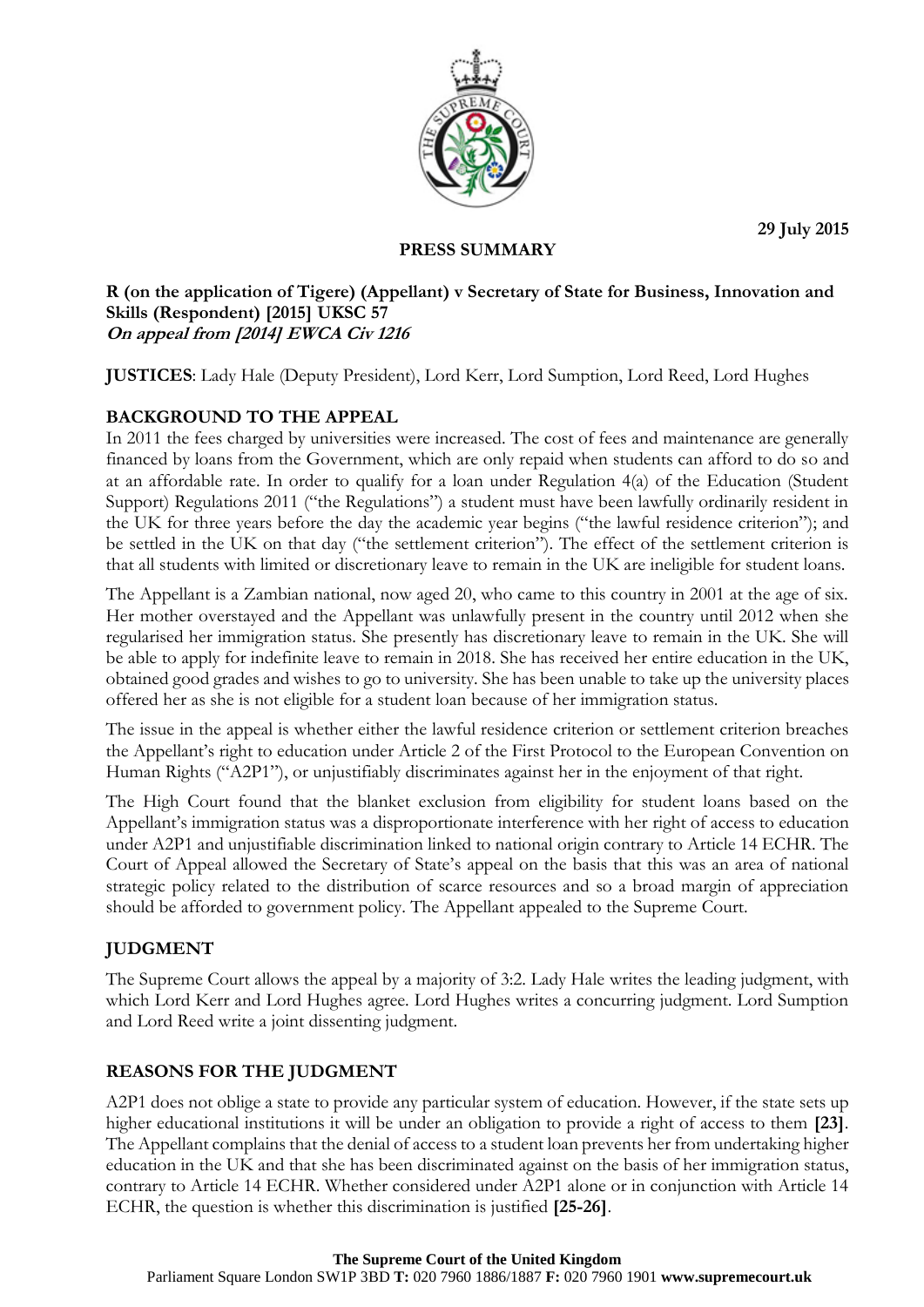**29 July 2015**



## **PRESS SUMMARY**

#### **R (on the application of Tigere) (Appellant) v Secretary of State for Business, Innovation and Skills (Respondent) [2015] UKSC 57 On appeal from [2014] EWCA Civ 1216**

**JUSTICES**: Lady Hale (Deputy President), Lord Kerr, Lord Sumption, Lord Reed, Lord Hughes

# **BACKGROUND TO THE APPEAL**

In 2011 the fees charged by universities were increased. The cost of fees and maintenance are generally financed by loans from the Government, which are only repaid when students can afford to do so and at an affordable rate. In order to qualify for a loan under Regulation 4(a) of the Education (Student Support) Regulations 2011 ("the Regulations") a student must have been lawfully ordinarily resident in the UK for three years before the day the academic year begins ("the lawful residence criterion"); and be settled in the UK on that day ("the settlement criterion"). The effect of the settlement criterion is that all students with limited or discretionary leave to remain in the UK are ineligible for student loans.

The Appellant is a Zambian national, now aged 20, who came to this country in 2001 at the age of six. Her mother overstayed and the Appellant was unlawfully present in the country until 2012 when she regularised her immigration status. She presently has discretionary leave to remain in the UK. She will be able to apply for indefinite leave to remain in 2018. She has received her entire education in the UK, obtained good grades and wishes to go to university. She has been unable to take up the university places offered her as she is not eligible for a student loan because of her immigration status.

The issue in the appeal is whether either the lawful residence criterion or settlement criterion breaches the Appellant's right to education under Article 2 of the First Protocol to the European Convention on Human Rights ("A2P1"), or unjustifiably discriminates against her in the enjoyment of that right.

The High Court found that the blanket exclusion from eligibility for student loans based on the Appellant's immigration status was a disproportionate interference with her right of access to education under A2P1 and unjustifiable discrimination linked to national origin contrary to Article 14 ECHR. The Court of Appeal allowed the Secretary of State's appeal on the basis that this was an area of national strategic policy related to the distribution of scarce resources and so a broad margin of appreciation should be afforded to government policy. The Appellant appealed to the Supreme Court.

## **JUDGMENT**

The Supreme Court allows the appeal by a majority of 3:2. Lady Hale writes the leading judgment, with which Lord Kerr and Lord Hughes agree. Lord Hughes writes a concurring judgment. Lord Sumption and Lord Reed write a joint dissenting judgment.

## **REASONS FOR THE JUDGMENT**

A2P1 does not oblige a state to provide any particular system of education. However, if the state sets up higher educational institutions it will be under an obligation to provide a right of access to them **[23]**. The Appellant complains that the denial of access to a student loan prevents her from undertaking higher education in the UK and that she has been discriminated against on the basis of her immigration status, contrary to Article 14 ECHR. Whether considered under A2P1 alone or in conjunction with Article 14 ECHR, the question is whether this discrimination is justified **[25-26]**.